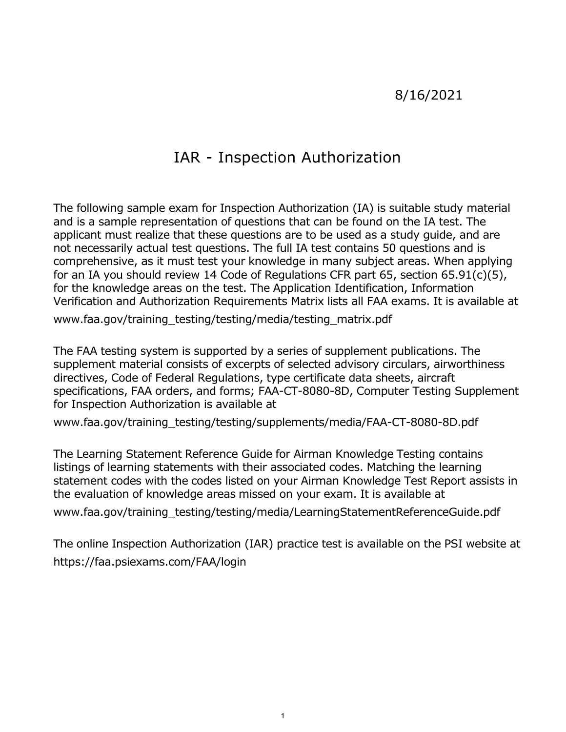## 8/16/2021

# IAR - Inspection Authorization

 applicant must realize that these questions are to be used as a study guide, and are not necessarily actual test questions. The full IA test contains 50 questions and is comprehensive, as it must test your knowledge in many subject areas. When applying for an IA you should review 14 Code of Regulations CFR part 65, section 65.91(c)(5), Verification and Authorization Requirements Matrix lists all FAA exams. It is available at The following sample exam for Inspection Authorization (IA) is suitable study material and is a sample representation of questions that can be found on the IA test. The for the knowledge areas on the test. The Application Identification, Information [www.faa.gov/training\\_testing/testing/media/testing\\_matrix.pdf](www.faa.gov/training_testing/testing/media/testing_matrix.pdf)

 The FAA testing system is supported by a series of supplement publications. The supplement material consists of excerpts of selected advisory circulars, airworthiness directives, Code of Federal Regulations, type certificate data sheets, aircraft specifications, FAA orders, and forms; FAA-CT-8080-8D, Computer Testing Supplement for Inspection Authorization is available at

[www.faa.gov/training\\_testing/testing/supplements/media/FAA-CT-8080-8D.pdf](www.faa.gov/training_testing/testing/supplements/media/FAA-CT-8080-8D.pdf)

 The Learning Statement Reference Guide for Airman Knowledge Testing contains listings of learning statements with their associated codes. Matching the learning statement codes with the codes listed on your Airman Knowledge Test Report assists in the evaluation of knowledge areas missed on your exam. It is available at

[www.faa.gov/training\\_testing/testing/media/LearningStatementReferenceGuide.pdf](www.faa.gov/training_testing/testing/media/LearningStatementReferenceGuide.pdf)

 The online Inspection Authorization (IAR) practice test is available on the PSI website at <https://faa.psiexams.com/FAA/login>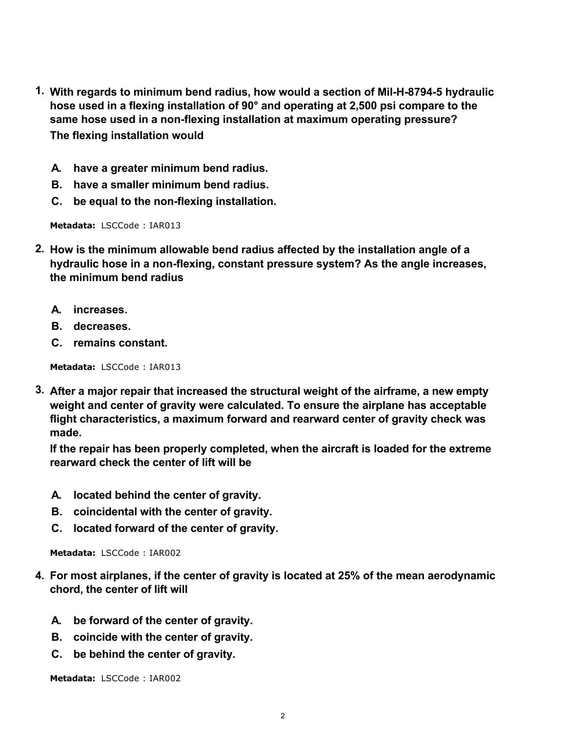- **1. With regards to minimum bend radius, how would a section of Mil-H-8794-5 hydraulic hose used in a flexing installation of 90° and operating at 2,500 psi compare to the same hose used in a non-flexing installation at maximum operating pressure? The flexing installation would**
	- **A. have a greater minimum bend radius.**
	- **B. have a smaller minimum bend radius.**
	- **C. be equal to the non-flexing installation.**

- **2. How is the minimum allowable bend radius affected by the installation angle of a hydraulic hose in a non-flexing, constant pressure system? As the angle increases, the minimum bend radius**
	- **A. increases.**
	- **B. decreases.**
	- **C. remains constant.**

**Metadata:** LSCCode : IAR013

**3. After a major repair that increased the structural weight of the airframe, a new empty weight and center of gravity were calculated. To ensure the airplane has acceptable flight characteristics, a maximum forward and rearward center of gravity check was made.**

**If the repair has been properly completed, when the aircraft is loaded for the extreme rearward check the center of lift will be**

- **A. located behind the center of gravity.**
- **B. coincidental with the center of gravity.**
- **C. located forward of the center of gravity.**

**Metadata:** LSCCode : IAR002

- **4. For most airplanes, if the center of gravity is located at 25% of the mean aerodynamic chord, the center of lift will**
	- **A. be forward of the center of gravity.**
	- **B. coincide with the center of gravity.**
	- **C. be behind the center of gravity.**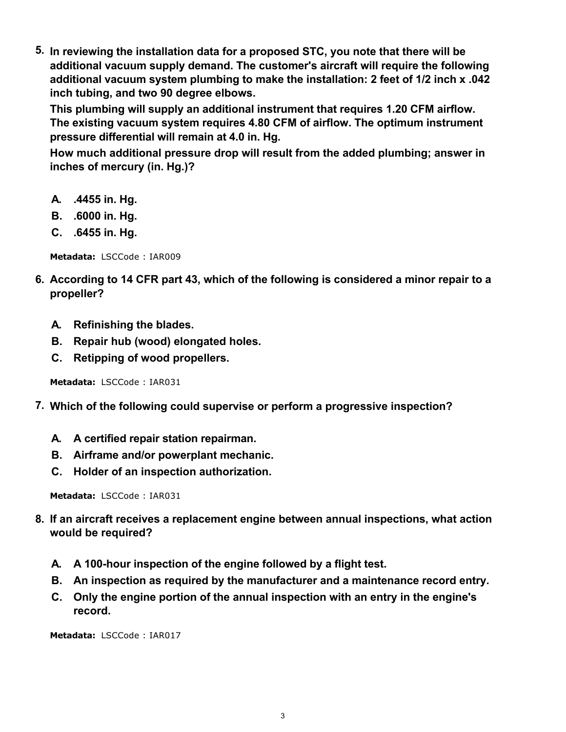**5. In reviewing the installation data for a proposed STC, you note that there will be additional vacuum supply demand. The customer's aircraft will require the following additional vacuum system plumbing to make the installation: 2 feet of 1/2 inch x .042 inch tubing, and two 90 degree elbows.**

**This plumbing will supply an additional instrument that requires 1.20 CFM airflow. The existing vacuum system requires 4.80 CFM of airflow. The optimum instrument pressure differential will remain at 4.0 in. Hg.**

**How much additional pressure drop will result from the added plumbing; answer in inches of mercury (in. Hg.)?**

- **A. .4455 in. Hg.**
- **B. .6000 in. Hg.**
- **C. .6455 in. Hg.**

**Metadata:** LSCCode : IAR009

- **6. According to 14 CFR part 43, which of the following is considered a minor repair to a propeller?**
	- **A. Refinishing the blades.**
	- **B. Repair hub (wood) elongated holes.**
	- **C. Retipping of wood propellers.**

**Metadata:** LSCCode : IAR031

- **7. Which of the following could supervise or perform a progressive inspection?**
	- **A. A certified repair station repairman.**
	- **B. Airframe and/or powerplant mechanic.**
	- **C. Holder of an inspection authorization.**

**Metadata:** LSCCode : IAR031

- **8. If an aircraft receives a replacement engine between annual inspections, what action would be required?**
	- **A. A 100-hour inspection of the engine followed by a flight test.**
	- **B. An inspection as required by the manufacturer and a maintenance record entry.**
	- **C. Only the engine portion of the annual inspection with an entry in the engine's record.**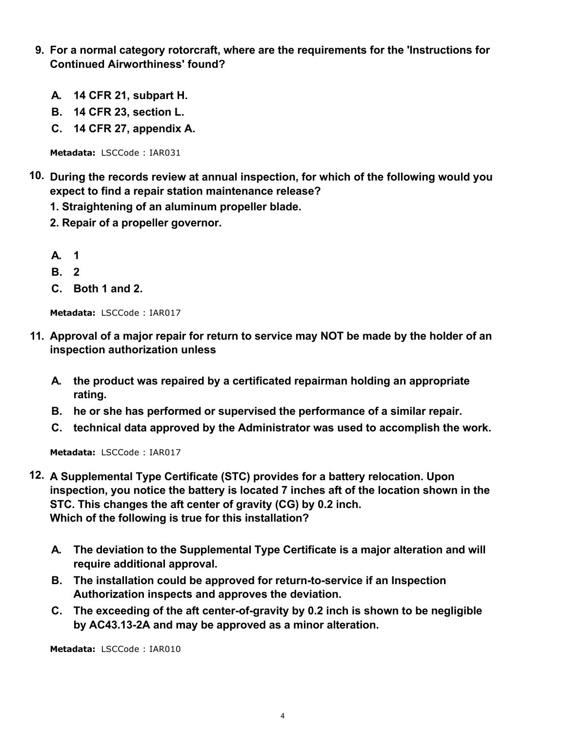- **9. For a normal category rotorcraft, where are the requirements for the 'Instructions for Continued Airworthiness' found?**
	- **A. 14 CFR 21, subpart H.**
	- **B. 14 CFR 23, section L.**
	- **C. 14 CFR 27, appendix A.**

- **10. During the records review at annual inspection, for which of the following would you expect to find a repair station maintenance release?**
	- **1. Straightening of an aluminum propeller blade.**
	- **2. Repair of a propeller governor.**
	- **A. 1**
	- **B. 2**
	- **C. Both 1 and 2.**

**Metadata:** LSCCode : IAR017

- **11. Approval of a major repair for return to service may NOT be made by the holder of an inspection authorization unless**
	- **A. the product was repaired by a certificated repairman holding an appropriate rating.**
	- **B. he or she has performed or supervised the performance of a similar repair.**
	- **C. technical data approved by the Administrator was used to accomplish the work.**

**Metadata:** LSCCode : IAR017

- **12. A Supplemental Type Certificate (STC) provides for a battery relocation. Upon inspection, you notice the battery is located 7 inches aft of the location shown in the STC. This changes the aft center of gravity (CG) by 0.2 inch. Which of the following is true for this installation?**
	- **A. The deviation to the Supplemental Type Certificate is a major alteration and will require additional approval.**
	- **B. The installation could be approved for return-to-service if an Inspection Authorization inspects and approves the deviation.**
	- **C. The exceeding of the aft center-of-gravity by 0.2 inch is shown to be negligible by AC43.13-2A and may be approved as a minor alteration.**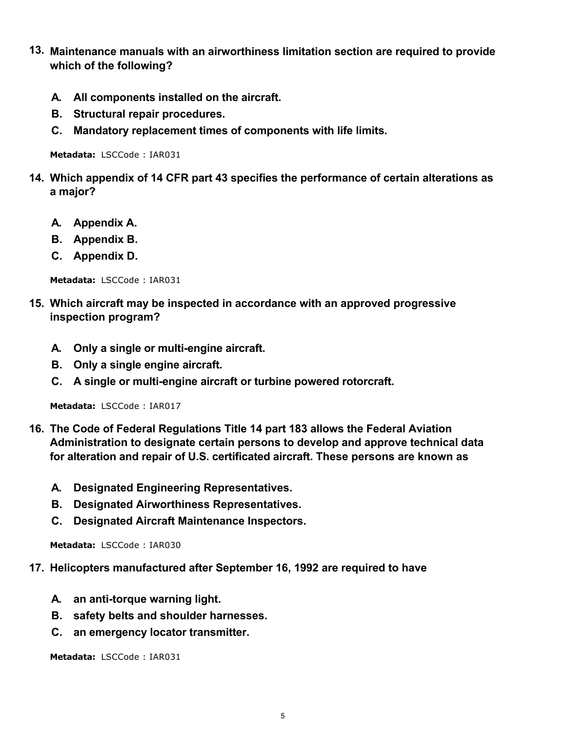- **13. Maintenance manuals with an airworthiness limitation section are required to provide which of the following?**
	- **A. All components installed on the aircraft.**
	- **B. Structural repair procedures.**
	- **C. Mandatory replacement times of components with life limits.**

- **14. Which appendix of 14 CFR part 43 specifies the performance of certain alterations as a major?**
	- **A. Appendix A.**
	- **B. Appendix B.**
	- **C. Appendix D.**

**Metadata:** LSCCode : IAR031

- **15. Which aircraft may be inspected in accordance with an approved progressive inspection program?**
	- **A. Only a single or multi-engine aircraft.**
	- **B. Only a single engine aircraft.**
	- **C. A single or multi-engine aircraft or turbine powered rotorcraft.**

**Metadata:** LSCCode : IAR017

- **16. The Code of Federal Regulations Title 14 part 183 allows the Federal Aviation Administration to designate certain persons to develop and approve technical data for alteration and repair of U.S. certificated aircraft. These persons are known as**
	- **A. Designated Engineering Representatives.**
	- **B. Designated Airworthiness Representatives.**
	- **C. Designated Aircraft Maintenance Inspectors.**

**Metadata:** LSCCode : IAR030

- **17. Helicopters manufactured after September 16, 1992 are required to have**
	- **A. an anti-torque warning light.**
	- **B. safety belts and shoulder harnesses.**
	- **C. an emergency locator transmitter.**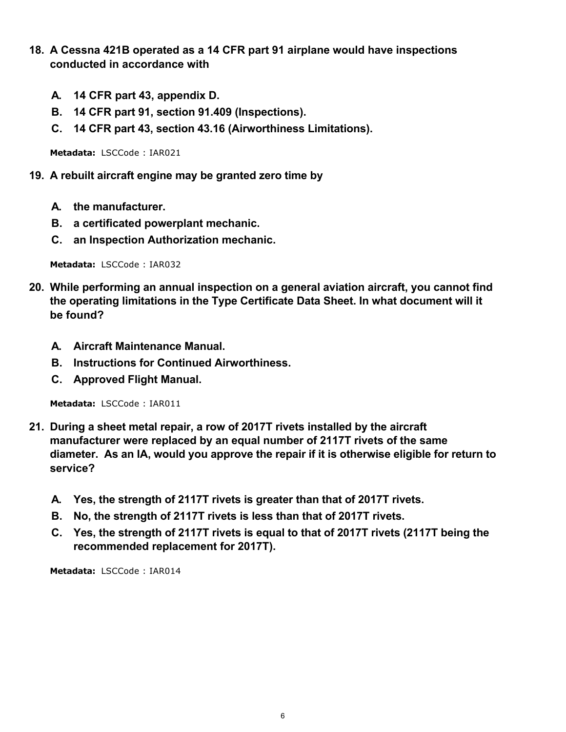- **18. A Cessna 421B operated as a 14 CFR part 91 airplane would have inspections conducted in accordance with**
	- **A. 14 CFR part 43, appendix D.**
	- **B. 14 CFR part 91, section 91.409 (Inspections).**
	- **C. 14 CFR part 43, section 43.16 (Airworthiness Limitations).**

- **19. A rebuilt aircraft engine may be granted zero time by**
	- **A. the manufacturer.**
	- **B. a certificated powerplant mechanic.**
	- **C. an Inspection Authorization mechanic.**

**Metadata:** LSCCode : IAR032

- **20. While performing an annual inspection on a general aviation aircraft, you cannot find the operating limitations in the Type Certificate Data Sheet. In what document will it be found?**
	- **A. Aircraft Maintenance Manual.**
	- **B. Instructions for Continued Airworthiness.**
	- **C. Approved Flight Manual.**

**Metadata:** LSCCode : IAR011

- **21. During a sheet metal repair, a row of 2017T rivets installed by the aircraft manufacturer were replaced by an equal number of 2117T rivets of the same diameter. As an IA, would you approve the repair if it is otherwise eligible for return to service?**
	- **A. Yes, the strength of 2117T rivets is greater than that of 2017T rivets.**
	- **B. No, the strength of 2117T rivets is less than that of 2017T rivets.**
	- **C. Yes, the strength of 2117T rivets is equal to that of 2017T rivets (2117T being the recommended replacement for 2017T).**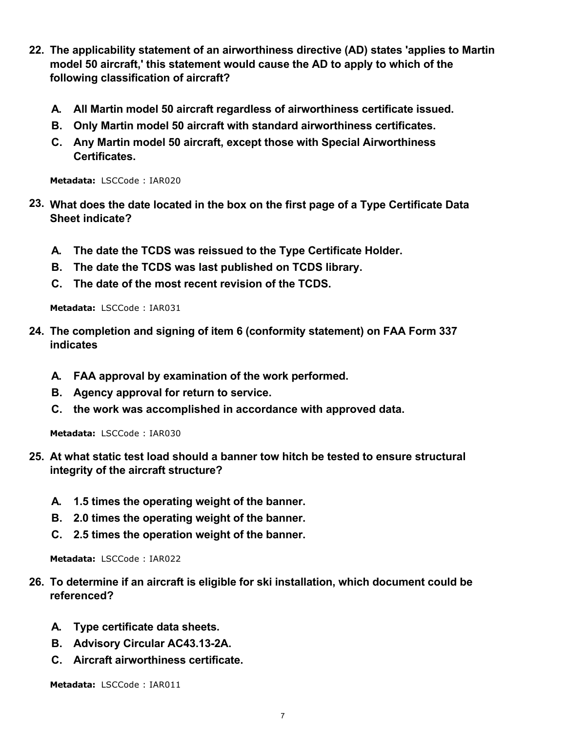- **22. The applicability statement of an airworthiness directive (AD) states 'applies to Martin model 50 aircraft,' this statement would cause the AD to apply to which of the following classification of aircraft?**
	- **A. All Martin model 50 aircraft regardless of airworthiness certificate issued.**
	- **B. Only Martin model 50 aircraft with standard airworthiness certificates.**
	- **C. Any Martin model 50 aircraft, except those with Special Airworthiness Certificates.**

- **23. What does the date located in the box on the first page of a Type Certificate Data Sheet indicate?**
	- **A. The date the TCDS was reissued to the Type Certificate Holder.**
	- **B. The date the TCDS was last published on TCDS library.**
	- **C. The date of the most recent revision of the TCDS.**

**Metadata:** LSCCode : IAR031

- **24. The completion and signing of item 6 (conformity statement) on FAA Form 337 indicates**
	- **A. FAA approval by examination of the work performed.**
	- **B. Agency approval for return to service.**
	- **C. the work was accomplished in accordance with approved data.**

**Metadata:** LSCCode : IAR030

- **25. At what static test load should a banner tow hitch be tested to ensure structural integrity of the aircraft structure?**
	- **A. 1.5 times the operating weight of the banner.**
	- **B. 2.0 times the operating weight of the banner.**
	- **C. 2.5 times the operation weight of the banner.**

**Metadata:** LSCCode : IAR022

- **26. To determine if an aircraft is eligible for ski installation, which document could be referenced?**
	- **A. Type certificate data sheets.**
	- **B. Advisory Circular AC43.13-2A.**
	- **C. Aircraft airworthiness certificate.**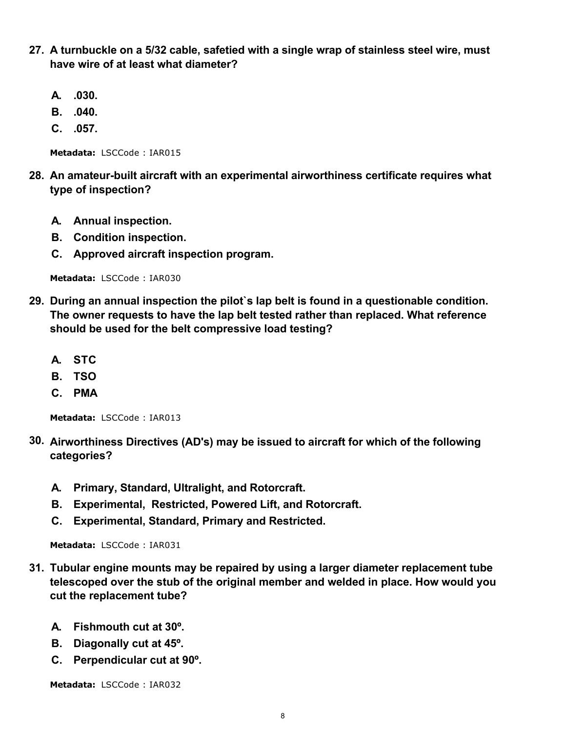- **27. A turnbuckle on a 5/32 cable, safetied with a single wrap of stainless steel wire, must have wire of at least what diameter?**
	- **A. .030.**
	- **B. .040.**
	- **C. .057.**

- **28. An amateur-built aircraft with an experimental airworthiness certificate requires what type of inspection?**
	- **A. Annual inspection.**
	- **B. Condition inspection.**
	- **C. Approved aircraft inspection program.**

**Metadata:** LSCCode : IAR030

- **29. During an annual inspection the pilot`s lap belt is found in a questionable condition. The owner requests to have the lap belt tested rather than replaced. What reference should be used for the belt compressive load testing?**
	- **A. STC**
	- **B. TSO**
	- **C. PMA**

**Metadata:** LSCCode : IAR013

- **30. Airworthiness Directives (AD's) may be issued to aircraft for which of the following categories?**
	- **A. Primary, Standard, Ultralight, and Rotorcraft.**
	- **B. Experimental, Restricted, Powered Lift, and Rotorcraft.**
	- **C. Experimental, Standard, Primary and Restricted.**

**Metadata:** LSCCode : IAR031

- **31. Tubular engine mounts may be repaired by using a larger diameter replacement tube telescoped over the stub of the original member and welded in place. How would you cut the replacement tube?**
	- **A. Fishmouth cut at 30º.**
	- **B. Diagonally cut at 45º.**
	- **C. Perpendicular cut at 90º.**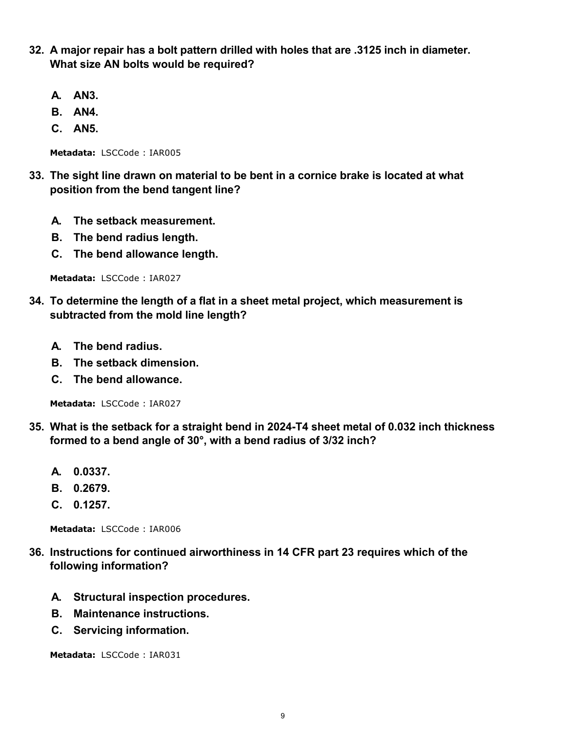- **32. A major repair has a bolt pattern drilled with holes that are .3125 inch in diameter. What size AN bolts would be required?**
	- **A. AN3.**
	- **B. AN4.**
	- **C. AN5.**

- **33. The sight line drawn on material to be bent in a cornice brake is located at what position from the bend tangent line?**
	- **A. The setback measurement.**
	- **B. The bend radius length.**
	- **C. The bend allowance length.**

**Metadata:** LSCCode : IAR027

- **34. To determine the length of a flat in a sheet metal project, which measurement is subtracted from the mold line length?**
	- **A. The bend radius.**
	- **B. The setback dimension.**
	- **C. The bend allowance.**

**Metadata:** LSCCode : IAR027

- **35. What is the setback for a straight bend in 2024-T4 sheet metal of 0.032 inch thickness formed to a bend angle of 30°, with a bend radius of 3/32 inch?**
	- **A. 0.0337.**
	- **B. 0.2679.**
	- **C. 0.1257.**

**Metadata:** LSCCode : IAR006

- **36. Instructions for continued airworthiness in 14 CFR part 23 requires which of the following information?**
	- **A. Structural inspection procedures.**
	- **B. Maintenance instructions.**
	- **C. Servicing information.**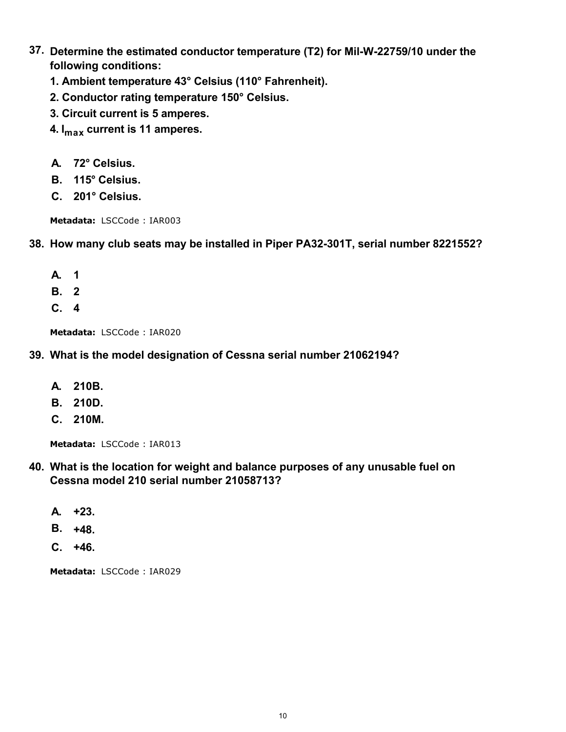- **37. Determine the estimated conductor temperature (T2) for Mil-W-22759/10 under the following conditions:**
	- **1. Ambient temperature 43° Celsius (110° Fahrenheit).**
	- **2. Conductor rating temperature 150° Celsius.**
	- **3. Circuit current is 5 amperes.**
	- **4. Imax current is 11 amperes.**
	- **A. 72° Celsius.**
	- **B. 115° Celsius.**
	- **C. 201° Celsius.**

```
Metadata: LSCCode : IAR003
```
#### **38. How many club seats may be installed in Piper PA32-301T, serial number 8221552?**

- **A. 1**
- **B. 2**
- **C. 4**

**Metadata:** LSCCode : IAR020

#### **39. What is the model designation of Cessna serial number 21062194?**

- **A. 210B.**
- **B. 210D.**
- **C. 210M.**

**Metadata:** LSCCode : IAR013

### **40. What is the location for weight and balance purposes of any unusable fuel on Cessna model 210 serial number 21058713?**

- **A. +23.**
- **B. +48.**
- **C. +46.**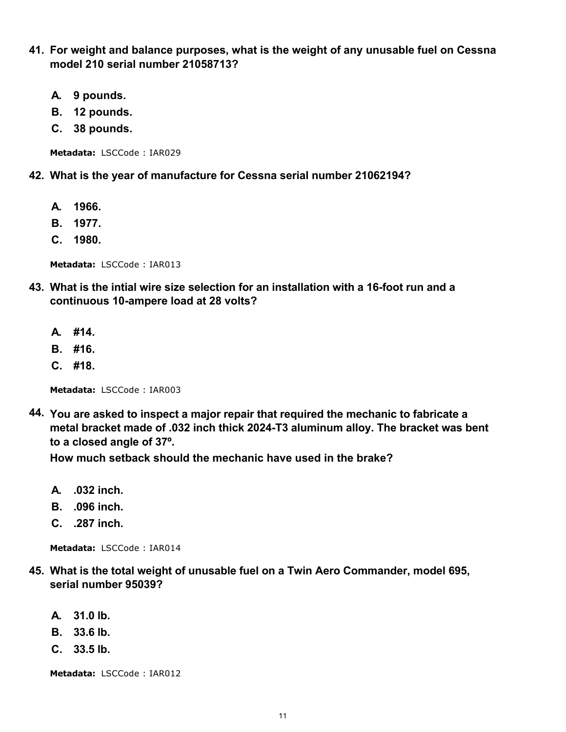- **41. For weight and balance purposes, what is the weight of any unusable fuel on Cessna model 210 serial number 21058713?**
	- **A. 9 pounds.**
	- **B. 12 pounds.**
	- **C. 38 pounds.**

#### **42. What is the year of manufacture for Cessna serial number 21062194?**

- **A. 1966.**
- **B. 1977.**
- **C. 1980.**

**Metadata:** LSCCode : IAR013

- **43. What is the intial wire size selection for an installation with a 16-foot run and a continuous 10-ampere load at 28 volts?**
	- **A. #14.**
	- **B. #16.**
	- **C. #18.**

**Metadata:** LSCCode : IAR003

**44. You are asked to inspect a major repair that required the mechanic to fabricate a metal bracket made of .032 inch thick 2024-T3 aluminum alloy. The bracket was bent to a closed angle of 37º.**

**How much setback should the mechanic have used in the brake?**

- **A. .032 inch.**
- **B. .096 inch.**
- **C. .287 inch.**

**Metadata:** LSCCode : IAR014

- **45. What is the total weight of unusable fuel on a Twin Aero Commander, model 695, serial number 95039?**
	- **A. 31.0 lb.**
	- **B. 33.6 lb.**
	- **C. 33.5 lb.**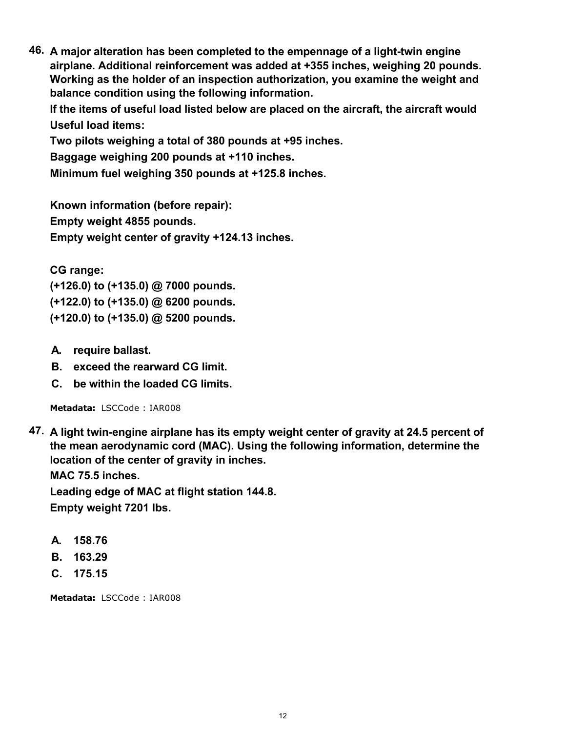**46. A major alteration has been completed to the empennage of a light-twin engine airplane. Additional reinforcement was added at +355 inches, weighing 20 pounds. Working as the holder of an inspection authorization, you examine the weight and balance condition using the following information.**

**If the items of useful load listed below are placed on the aircraft, the aircraft would Useful load items:**

**Two pilots weighing a total of 380 pounds at +95 inches.**

**Baggage weighing 200 pounds at +110 inches.**

**Minimum fuel weighing 350 pounds at +125.8 inches.**

**Known information (before repair): Empty weight 4855 pounds. Empty weight center of gravity +124.13 inches.**

**CG range:**

**(+126.0) to (+135.0) @ 7000 pounds. (+122.0) to (+135.0) @ 6200 pounds. (+120.0) to (+135.0) @ 5200 pounds.**

- **A. require ballast.**
- **B. exceed the rearward CG limit.**
- **C. be within the loaded CG limits.**

**Metadata:** LSCCode : IAR008

**47. A light twin-engine airplane has its empty weight center of gravity at 24.5 percent of the mean aerodynamic cord (MAC). Using the following information, determine the location of the center of gravity in inches.**

**MAC 75.5 inches.**

**Leading edge of MAC at flight station 144.8. Empty weight 7201 lbs.**

- **A. 158.76**
- **B. 163.29**
- **C. 175.15**